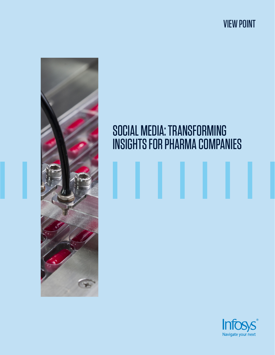VIEW POINT



# SOCIAL MEDIA: TRANSFORMING INSIGHTS FOR PHARMA COMPANIES

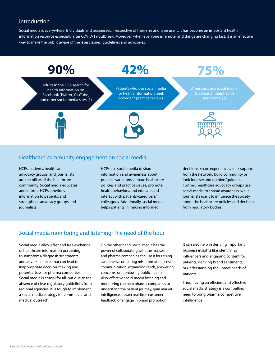## Introduction

Social media is everywhere. Individuals and businesses, irrespective of their size and type use it. It has become an important health information resource especially after COVID-19 outbreak. Moreover, when everyone is remote, and things are changing fast, it is an effective way to make the public aware of the latest issues, guidelines and advisories.



#### Healthcare community engagement on social media

HCPs, patients, healthcare advocacy groups, and journalists are the pillars of the healthcare community. Social media educates and informs HCPs, provides information to patients, and strengthens advocacy groups and journalists.

HCPs use social media to share information and awareness about practice variations, debate healthcare policies and practice issues, promote health behaviors, and educate and interact with patients/caregivers/ colleagues. Additionally, social media helps patients in making informed

decisions, share experiences, seek support from the network, build community or look for a second opinion/guidance. Further, healthcare advocacy groups use social media to spread awareness, while journalists use it to influence the society about the healthcare policies and decisions from regulatory bodies.

# Social media monitoring and listening: The need of the hour

Social media allows fast and free exchange of healthcare information pertaining to symptoms/diagnosis/treatments and adverse effects that can lead to inappropriate decision-making and potential loss for pharma companies. Social media is crucial for all, but due to the absence of clear regulatory guidelines from regional agencies, it is tough to implement a social media strategy for commercial and medical outreach.

On the other hand, social media has the power of collaborating with the masses, and pharma companies can use it for raising awareness, combating misinformation, crisis communication, expanding reach, answering concerns, or monitoring public health. Also, effective social media listening and monitoring can help pharma companies to understand the patient journey, gain market intelligence, obtain real-time customer feedback, or engage in brand promotion.

It can also help in deriving important business insights like identifying influencers and engaging content for patients, deriving brand sentiments, or understanding the unmet needs of patients.

Thus, having an efficient and effective social media strategy is a compelling need to bring pharma competitive intelligence.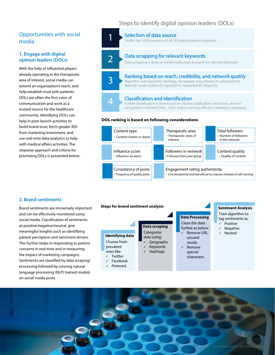# Opportunities with social media

#### **1. Engage with digital opinion leaders (DOLs)**

With the help of influential players already operating in the therapeutic area of interest, social media can extend an organization's reach, and help establish trust with patients. DOLs are often the first voice of communication and work as a trusted source for the healthcare community. Identifying DOLs can help in post-launch activities to build brand trust, fetch greater ROI from marketing investment, and use real-time data analytics to help with medical affairs activities. The stepwise approach and criteria for priortizing DOLs is presented below:

# Steps to identify digital opinion leaders (DOLs)



#### **2. Brand sentiments**

Brand sentiments are immensely important and can be effectively monitored using social media. Classification of sentiments as positive/negative/neutral, give meaningful insights such as identifying patient perception and sentiment drivers. This further helps in responding to patient concerns in real-time and in measuring the impact of marketing campaigns. Sentiments are classified by data scraping/ processing followed by running natural language processing (NLP) trained models on social media posts.